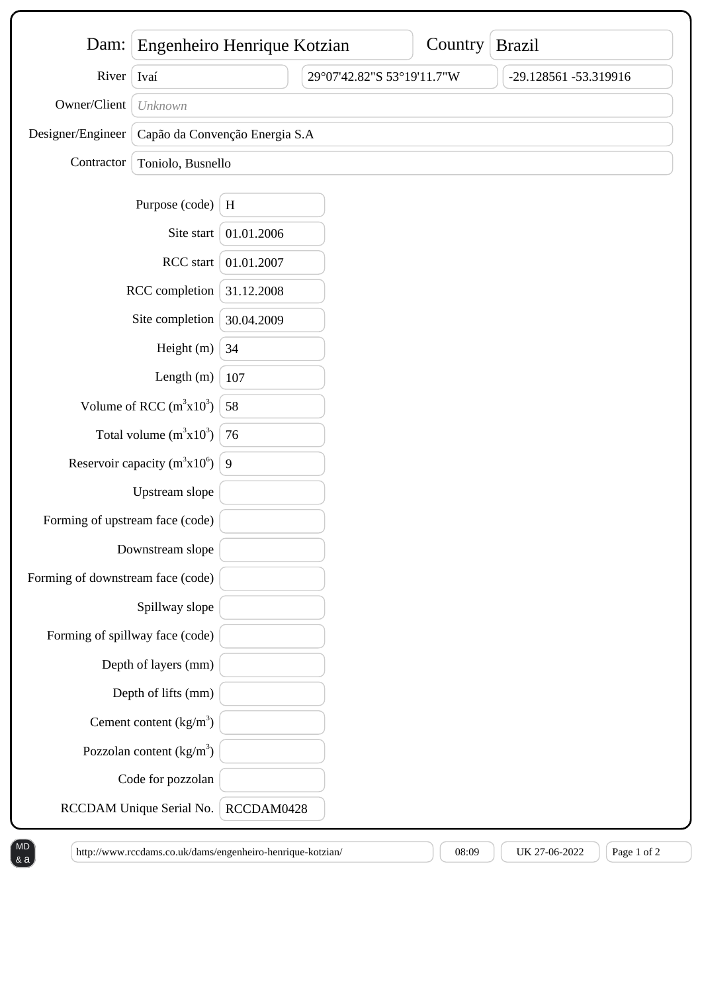| Dam: $\vert$                      | Engenheiro Henrique Kotzian    |            |                            | Country | <b>Brazil</b>         |
|-----------------------------------|--------------------------------|------------|----------------------------|---------|-----------------------|
| River                             | Ivaí                           |            | 29°07'42.82"S 53°19'11.7"W |         | -29.128561 -53.319916 |
| Owner/Client                      | Unknown                        |            |                            |         |                       |
| Designer/Engineer                 | Capão da Convenção Energia S.A |            |                            |         |                       |
| Contractor                        | Toniolo, Busnello              |            |                            |         |                       |
|                                   |                                |            |                            |         |                       |
|                                   | Purpose (code)                 | $\,$ H     |                            |         |                       |
|                                   | Site start                     | 01.01.2006 |                            |         |                       |
| RCC start                         |                                | 01.01.2007 |                            |         |                       |
| RCC completion                    |                                | 31.12.2008 |                            |         |                       |
| Site completion                   |                                | 30.04.2009 |                            |         |                       |
| Height (m)                        |                                | 34         |                            |         |                       |
| Length $(m)$                      |                                | 107        |                            |         |                       |
| Volume of RCC $(m^3x10^3)$        |                                | 58         |                            |         |                       |
| Total volume $(m^3x10^3)$         |                                | 76         |                            |         |                       |
| Reservoir capacity ( $m^3x10^6$ ) |                                | 9          |                            |         |                       |
|                                   | Upstream slope                 |            |                            |         |                       |
| Forming of upstream face (code)   |                                |            |                            |         |                       |
| Downstream slope                  |                                |            |                            |         |                       |
| Forming of downstream face (code) |                                |            |                            |         |                       |
|                                   | Spillway slope                 |            |                            |         |                       |
| Forming of spillway face (code)   |                                |            |                            |         |                       |
|                                   | Depth of layers (mm)           |            |                            |         |                       |
|                                   | Depth of lifts (mm)            |            |                            |         |                       |
|                                   | Cement content $(kg/m3)$       |            |                            |         |                       |
|                                   | Pozzolan content $(kg/m3)$     |            |                            |         |                       |
|                                   | Code for pozzolan              |            |                            |         |                       |
|                                   | RCCDAM Unique Serial No.       | RCCDAM0428 |                            |         |                       |

 $\begin{bmatrix} \text{http://www.rccdams.co.uk/dams/engenheiro-henrique-kotzian/ \\ \end{bmatrix}$   $\begin{bmatrix} 08:09 \end{bmatrix}$  UK 27-06-2022  $\begin{bmatrix} \text{Page 1 of 2} \\ \end{bmatrix}$ 

& a